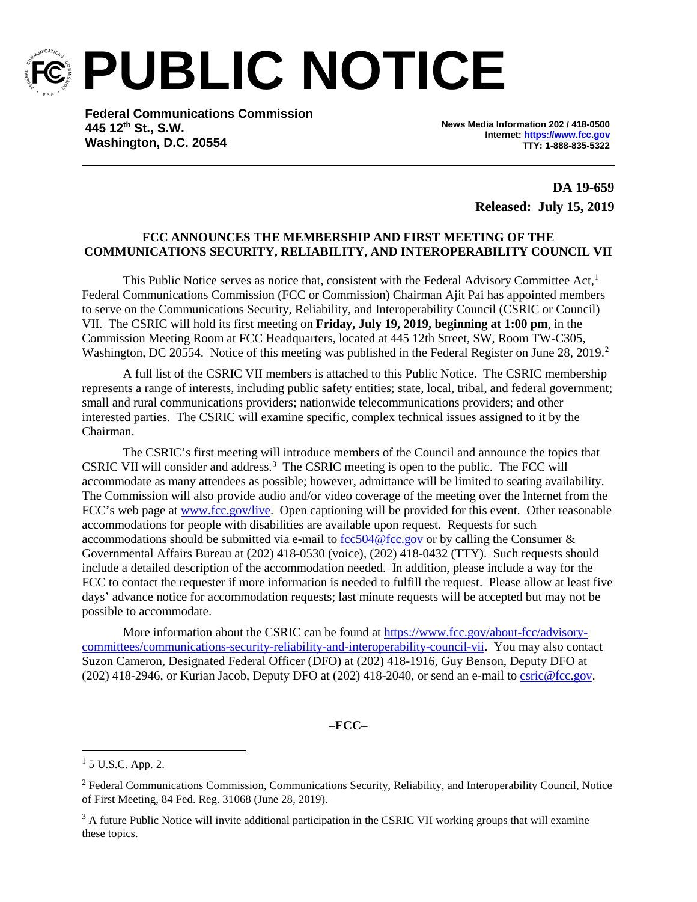

**PUBLIC NOTICE**

**Federal Communications Commission 445 12th St., S.W. Washington, D.C. 20554**

**News Media Information 202 / 418-0500 Internet[: https://www.fcc.gov](https://www.fcc.gov/) TTY: 1-888-835-5322**

> **DA 19-659 Released: July 15, 2019**

## **FCC ANNOUNCES THE MEMBERSHIP AND FIRST MEETING OF THE COMMUNICATIONS SECURITY, RELIABILITY, AND INTEROPERABILITY COUNCIL VII**

This Public Notice serves as notice that, consistent with the Federal Advisory Committee Act, $<sup>1</sup>$  $<sup>1</sup>$  $<sup>1</sup>$ </sup> Federal Communications Commission (FCC or Commission) Chairman Ajit Pai has appointed members to serve on the Communications Security, Reliability, and Interoperability Council (CSRIC or Council) VII. The CSRIC will hold its first meeting on **Friday, July 19, 2019, beginning at 1:00 pm**, in the Commission Meeting Room at FCC Headquarters, located at 445 12th Street, SW, Room TW-C305, Washington, DC [2](#page-0-1)0554. Notice of this meeting was published in the Federal Register on June 28, 2019.<sup>2</sup>

A full list of the CSRIC VII members is attached to this Public Notice. The CSRIC membership represents a range of interests, including public safety entities; state, local, tribal, and federal government; small and rural communications providers; nationwide telecommunications providers; and other interested parties. The CSRIC will examine specific, complex technical issues assigned to it by the Chairman.

The CSRIC's first meeting will introduce members of the Council and announce the topics that CSRIC VII will consider and address.<sup>[3](#page-0-2)</sup> The CSRIC meeting is open to the public. The FCC will accommodate as many attendees as possible; however, admittance will be limited to seating availability. The Commission will also provide audio and/or video coverage of the meeting over the Internet from the FCC's web page at [www.fcc.gov/live.](http://www.fcc.gov/live) Open captioning will be provided for this event. Other reasonable accommodations for people with disabilities are available upon request. Requests for such accommodations should be submitted via e-mail to  $\frac{fcc504@fcc.gov}{c}$  or by calling the Consumer & Governmental Affairs Bureau at (202) 418-0530 (voice), (202) 418-0432 (TTY). Such requests should include a detailed description of the accommodation needed. In addition, please include a way for the FCC to contact the requester if more information is needed to fulfill the request. Please allow at least five days' advance notice for accommodation requests; last minute requests will be accepted but may not be possible to accommodate.

More information about the CSRIC can be found at [https://www.fcc.gov/about-fcc/advisory](https://www.fcc.gov/about-fcc/advisory-committees/communications-security-reliability-and-interoperability-council-vii)[committees/communications-security-reliability-and-interoperability-council-vii.](https://www.fcc.gov/about-fcc/advisory-committees/communications-security-reliability-and-interoperability-council-vii) You may also contact Suzon Cameron, Designated Federal Officer (DFO) at (202) 418-1916, Guy Benson, Deputy DFO at (202) 418-2946, or Kurian Jacob, Deputy DFO at (202) 418-2040, or send an e-mail to [csric@fcc.gov.](mailto:csric@fcc.gov)

**–FCC–**

<span id="page-0-0"></span><sup>&</sup>lt;sup>1</sup> 5 U.S.C. App. 2.

<span id="page-0-1"></span><sup>2</sup> Federal Communications Commission, Communications Security, Reliability, and Interoperability Council, Notice of First Meeting, 84 Fed. Reg. 31068 (June 28, 2019).

<span id="page-0-2"></span><sup>&</sup>lt;sup>3</sup> A future Public Notice will invite additional participation in the CSRIC VII working groups that will examine these topics.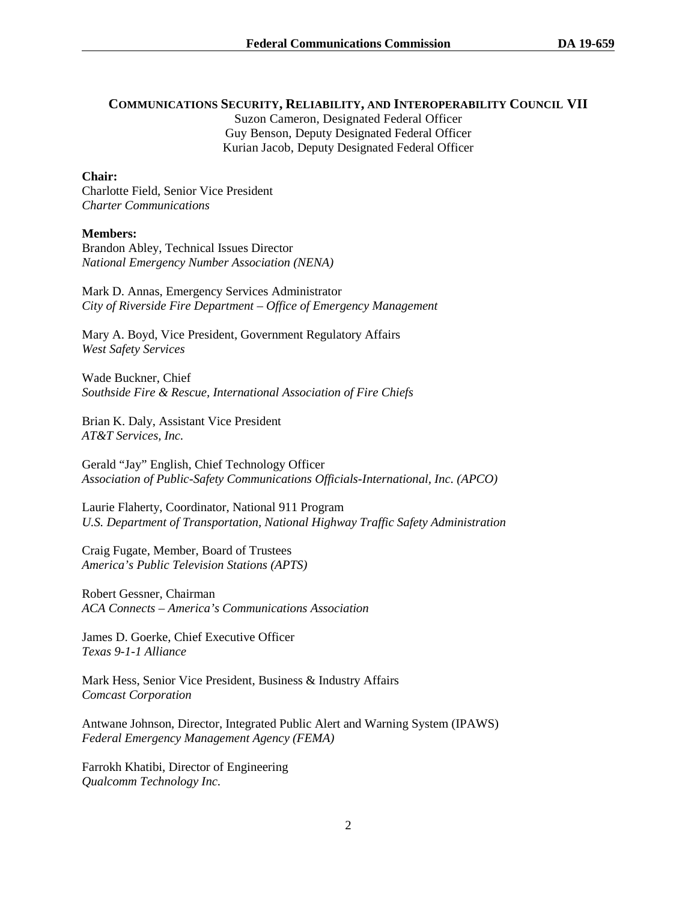## **COMMUNICATIONS SECURITY, RELIABILITY, AND INTEROPERABILITY COUNCIL VII**

Suzon Cameron, Designated Federal Officer Guy Benson, Deputy Designated Federal Officer Kurian Jacob, Deputy Designated Federal Officer

## **Chair:**

Charlotte Field, Senior Vice President *Charter Communications*

## **Members:**

Brandon Abley, Technical Issues Director *National Emergency Number Association (NENA)*

Mark D. Annas, Emergency Services Administrator *City of Riverside Fire Department – Office of Emergency Management*

Mary A. Boyd, Vice President, Government Regulatory Affairs *West Safety Services*

Wade Buckner, Chief *Southside Fire & Rescue, International Association of Fire Chiefs* 

Brian K. Daly, Assistant Vice President *AT&T Services, Inc.*

Gerald "Jay" English, Chief Technology Officer *Association of Public-Safety Communications Officials-International, Inc. (APCO)*

Laurie Flaherty, Coordinator, National 911 Program *U.S. Department of Transportation, National Highway Traffic Safety Administration*

Craig Fugate, Member, Board of Trustees *America's Public Television Stations (APTS)*

Robert Gessner, Chairman *ACA Connects – America's Communications Association*

James D. Goerke, Chief Executive Officer *Texas 9-1-1 Alliance*

Mark Hess, Senior Vice President, Business & Industry Affairs *Comcast Corporation*

Antwane Johnson, Director, Integrated Public Alert and Warning System (IPAWS) *Federal Emergency Management Agency (FEMA)*

Farrokh Khatibi, Director of Engineering *Qualcomm Technology Inc.*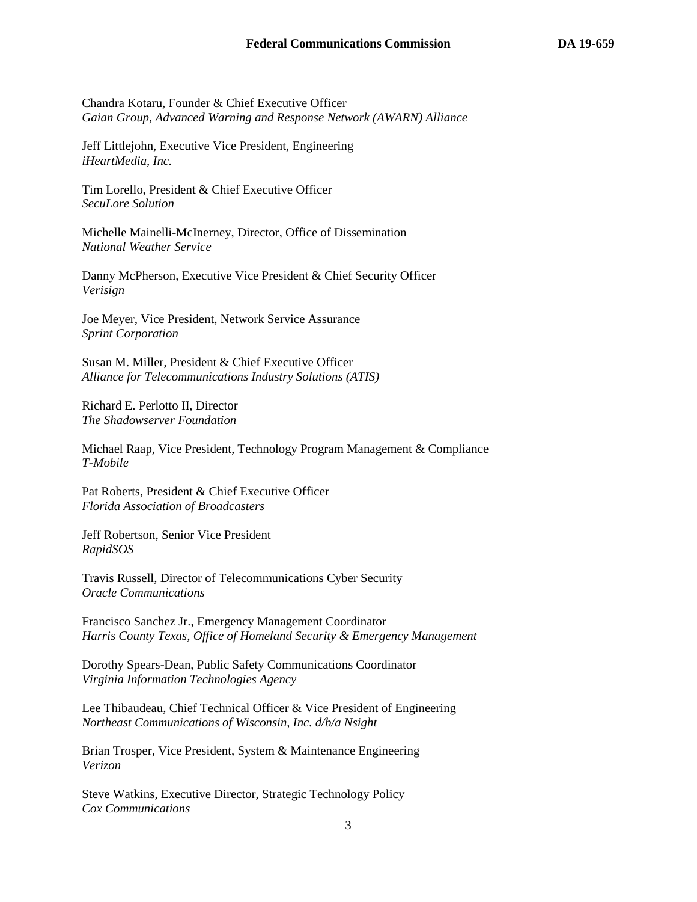Chandra Kotaru, Founder & Chief Executive Officer *Gaian Group, Advanced Warning and Response Network (AWARN) Alliance*

Jeff Littlejohn, Executive Vice President, Engineering *iHeartMedia, Inc.*

Tim Lorello, President & Chief Executive Officer *SecuLore Solution*

Michelle Mainelli-McInerney, Director, Office of Dissemination *National Weather Service* 

Danny McPherson, Executive Vice President & Chief Security Officer *Verisign*

Joe Meyer, Vice President, Network Service Assurance *Sprint Corporation*

Susan M. Miller, President & Chief Executive Officer *Alliance for Telecommunications Industry Solutions (ATIS)*

Richard E. Perlotto II, Director *The Shadowserver Foundation*

Michael Raap, Vice President, Technology Program Management & Compliance *T-Mobile*

Pat Roberts, President & Chief Executive Officer *Florida Association of Broadcasters*

Jeff Robertson, Senior Vice President *RapidSOS*

Travis Russell, Director of Telecommunications Cyber Security *Oracle Communications*

Francisco Sanchez Jr., Emergency Management Coordinator *Harris County Texas, Office of Homeland Security & Emergency Management*

Dorothy Spears-Dean, Public Safety Communications Coordinator *Virginia Information Technologies Agency*

Lee Thibaudeau, Chief Technical Officer & Vice President of Engineering *Northeast Communications of Wisconsin, Inc. d/b/a Nsight*

Brian Trosper, Vice President, System & Maintenance Engineering *Verizon* 

Steve Watkins, Executive Director, Strategic Technology Policy *Cox Communications*